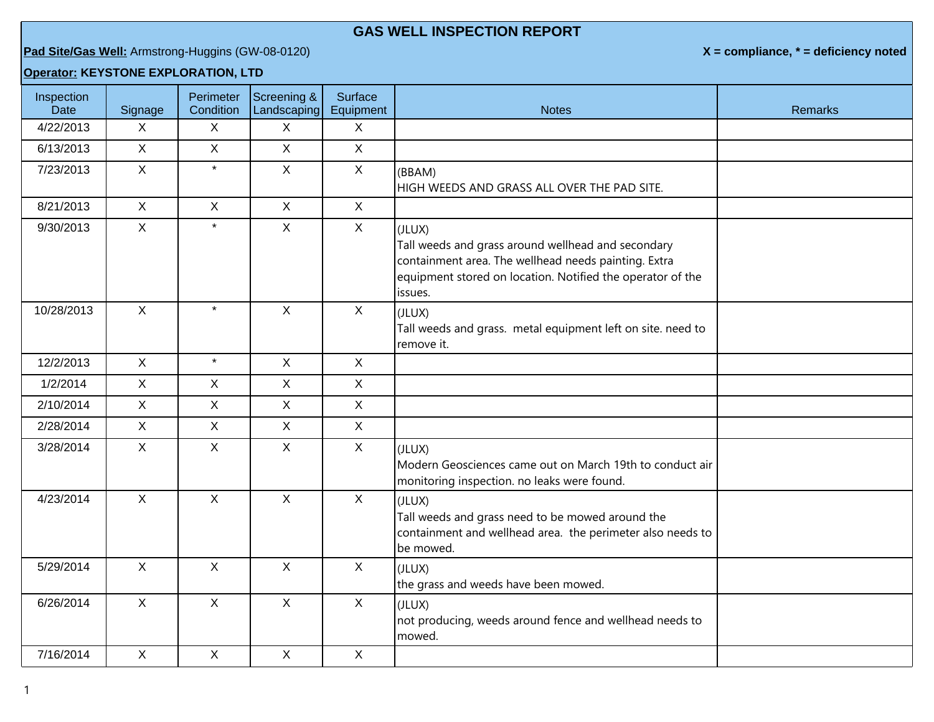## **GAS WELL INSPECTION REPORT**

## **Pad Site/Gas Well:** Armstrong-Huggins (GW-08-0120) **X = compliance, \* = deficiency noted**

## **Operator: KEYSTONE EXPLORATION, LTD**

| Inspection<br>Date | Signage      | Perimeter<br>Condition | Screening &<br>Landscaping | Surface<br>Equipment | <b>Notes</b>                                                                                                                                                                                  | <b>Remarks</b> |
|--------------------|--------------|------------------------|----------------------------|----------------------|-----------------------------------------------------------------------------------------------------------------------------------------------------------------------------------------------|----------------|
| 4/22/2013          | X            | X                      | X                          | $\sf X$              |                                                                                                                                                                                               |                |
| 6/13/2013          | $\mathsf{X}$ | $\mathsf{X}$           | $\mathsf{X}$               | $\mathsf{X}$         |                                                                                                                                                                                               |                |
| 7/23/2013          | $\mathsf{X}$ | $\star$                | $\mathsf{X}$               | $\mathsf{X}$         | (BBAM)<br>HIGH WEEDS AND GRASS ALL OVER THE PAD SITE.                                                                                                                                         |                |
| 8/21/2013          | $\mathsf{X}$ | $\mathsf{X}$           | $\mathsf X$                | $\mathsf{X}$         |                                                                                                                                                                                               |                |
| 9/30/2013          | $\mathsf{X}$ | $\star$                | $\mathsf{X}$               | $\mathsf{X}$         | (JLUX)<br>Tall weeds and grass around wellhead and secondary<br>containment area. The wellhead needs painting. Extra<br>equipment stored on location. Notified the operator of the<br>issues. |                |
| 10/28/2013         | $\mathsf{X}$ | $\star$                | $\mathsf{X}$               | $\mathsf{X}$         | (JLUX)<br>Tall weeds and grass. metal equipment left on site. need to<br>remove it.                                                                                                           |                |
| 12/2/2013          | $\mathsf{X}$ | $\star$                | $\mathsf{X}$               | $\mathsf{X}$         |                                                                                                                                                                                               |                |
| 1/2/2014           | $\mathsf{X}$ | X                      | $\mathsf{X}$               | $\mathsf{X}$         |                                                                                                                                                                                               |                |
| 2/10/2014          | $\mathsf{X}$ | $\mathsf{X}$           | $\mathsf{X}$               | $\mathsf{X}$         |                                                                                                                                                                                               |                |
| 2/28/2014          | $\mathsf{X}$ | $\mathsf{X}$           | $\mathsf{X}$               | $\mathsf{X}$         |                                                                                                                                                                                               |                |
| 3/28/2014          | $\mathsf{X}$ | X                      | $\mathsf X$                | $\mathsf{X}$         | (JLUX)<br>Modern Geosciences came out on March 19th to conduct air<br>monitoring inspection. no leaks were found.                                                                             |                |
| 4/23/2014          | $\mathsf{X}$ | $\mathsf{X}$           | $\mathsf{X}$               | $\mathsf{X}$         | (JLUX)<br>Tall weeds and grass need to be mowed around the<br>containment and wellhead area. the perimeter also needs to<br>be mowed.                                                         |                |
| 5/29/2014          | $\mathsf{X}$ | $\mathsf{X}$           | $\mathsf{X}$               | $\mathsf{X}$         | (JLUX)<br>the grass and weeds have been mowed.                                                                                                                                                |                |
| 6/26/2014          | $\mathsf{X}$ | $\mathsf{X}$           | $\mathsf{X}$               | $\mathsf{X}$         | (JLUX)<br>not producing, weeds around fence and wellhead needs to<br>mowed.                                                                                                                   |                |
| 7/16/2014          | $\mathsf{X}$ | $\mathsf{X}$           | $\mathsf{X}$               | $\mathsf{X}$         |                                                                                                                                                                                               |                |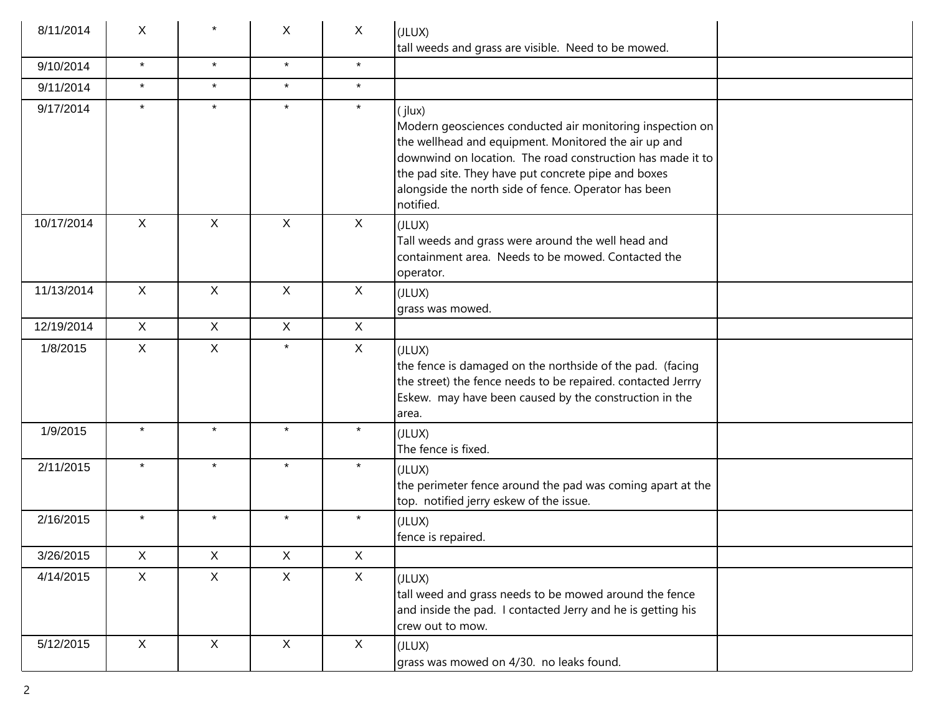| 8/11/2014  | X            |              | X            | X            | (JLUX)<br>tall weeds and grass are visible. Need to be mowed.                                                                                                                                                                                                                                                         |
|------------|--------------|--------------|--------------|--------------|-----------------------------------------------------------------------------------------------------------------------------------------------------------------------------------------------------------------------------------------------------------------------------------------------------------------------|
| 9/10/2014  | $\star$      | $\star$      | $\star$      | $\star$      |                                                                                                                                                                                                                                                                                                                       |
| 9/11/2014  | $\star$      | $\star$      | $\star$      | $\star$      |                                                                                                                                                                                                                                                                                                                       |
| 9/17/2014  | $\star$      | $\star$      | $\star$      | $\star$      | (jlux)<br>Modern geosciences conducted air monitoring inspection on<br>the wellhead and equipment. Monitored the air up and<br>downwind on location. The road construction has made it to<br>the pad site. They have put concrete pipe and boxes<br>alongside the north side of fence. Operator has been<br>notified. |
| 10/17/2014 | $\mathsf{X}$ | $\mathsf{X}$ | $\mathsf{X}$ | $\mathsf{X}$ | (JLUX)<br>Tall weeds and grass were around the well head and<br>containment area. Needs to be mowed. Contacted the<br>operator.                                                                                                                                                                                       |
| 11/13/2014 | $\mathsf{X}$ | X            | X            | X            | (JLUX)<br>grass was mowed.                                                                                                                                                                                                                                                                                            |
| 12/19/2014 | $\mathsf{X}$ | $\mathsf{X}$ | $\mathsf{X}$ | X            |                                                                                                                                                                                                                                                                                                                       |
| 1/8/2015   | $\mathsf{X}$ | $\mathsf{X}$ | $\star$      | X            | (JLUX)<br>the fence is damaged on the northside of the pad. (facing<br>the street) the fence needs to be repaired. contacted Jerrry<br>Eskew. may have been caused by the construction in the<br>area.                                                                                                                |
| 1/9/2015   | $\star$      | $\star$      | $\star$      | $\star$      | (JLUX)<br>The fence is fixed.                                                                                                                                                                                                                                                                                         |
| 2/11/2015  | $\star$      | $\star$      | $\star$      | $\star$      | (JLUX)<br>the perimeter fence around the pad was coming apart at the<br>top. notified jerry eskew of the issue.                                                                                                                                                                                                       |
| 2/16/2015  | $\star$      | $\star$      | $\star$      | $\star$      | (JLUX)<br>fence is repaired.                                                                                                                                                                                                                                                                                          |
| 3/26/2015  | X            | X            | X            | X            |                                                                                                                                                                                                                                                                                                                       |
| 4/14/2015  | $\mathsf{X}$ | X            | $\mathsf{X}$ | $\mathsf{X}$ | (JLUX)<br>tall weed and grass needs to be mowed around the fence<br>and inside the pad. I contacted Jerry and he is getting his<br>crew out to mow.                                                                                                                                                                   |
| 5/12/2015  | X            | $\mathsf{X}$ | $\mathsf{X}$ | X            | (JLUX)<br>grass was mowed on 4/30. no leaks found.                                                                                                                                                                                                                                                                    |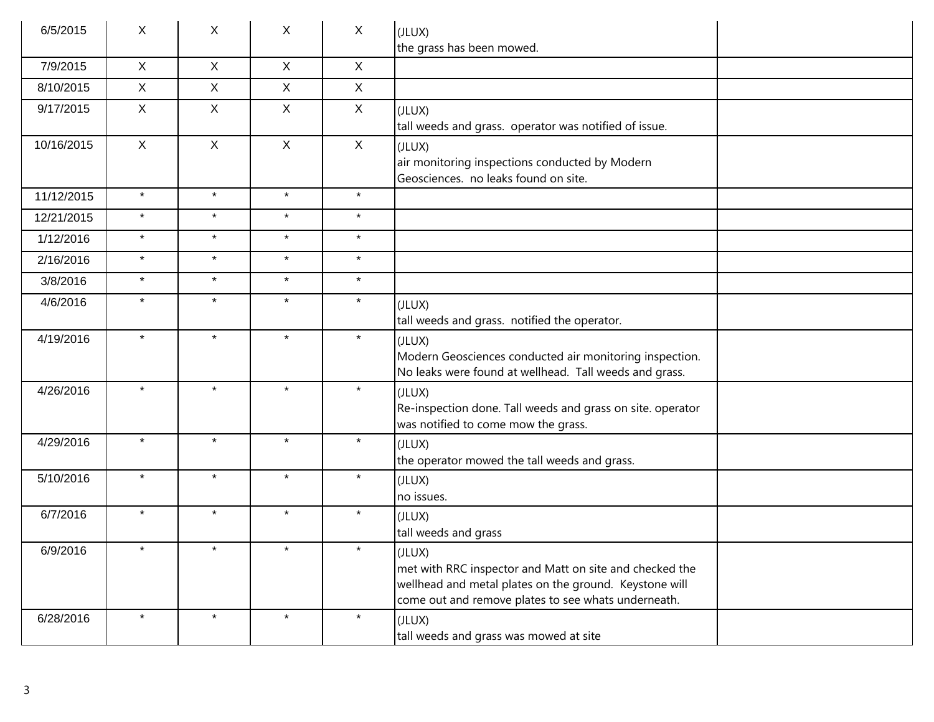| 6/5/2015   | X            | X            | $\sf X$      | $\sf X$      | (JLUX)<br>the grass has been mowed.                                                                                                                                                |  |
|------------|--------------|--------------|--------------|--------------|------------------------------------------------------------------------------------------------------------------------------------------------------------------------------------|--|
| 7/9/2015   | $\mathsf{X}$ | $\mathsf{X}$ | $\mathsf{X}$ | $\mathsf{X}$ |                                                                                                                                                                                    |  |
| 8/10/2015  | $\mathsf{X}$ | $\mathsf{X}$ | $\mathsf{X}$ | $\mathsf{X}$ |                                                                                                                                                                                    |  |
| 9/17/2015  | $\mathsf{X}$ | $\mathsf{X}$ | $\mathsf{X}$ | $\mathsf{X}$ | (JLUX)<br>tall weeds and grass. operator was notified of issue.                                                                                                                    |  |
| 10/16/2015 | $\mathsf{X}$ | $\mathsf{X}$ | $\mathsf{X}$ | $\sf X$      | (JLUX)<br>air monitoring inspections conducted by Modern<br>Geosciences. no leaks found on site.                                                                                   |  |
| 11/12/2015 | $\star$      | $\star$      | $\star$      | $\star$      |                                                                                                                                                                                    |  |
| 12/21/2015 | $\star$      | $\star$      | $\star$      | $\star$      |                                                                                                                                                                                    |  |
| 1/12/2016  | $\star$      | $\star$      | $\star$      | $\star$      |                                                                                                                                                                                    |  |
| 2/16/2016  | $\star$      | $\star$      | $\star$      | $\star$      |                                                                                                                                                                                    |  |
| 3/8/2016   | $\star$      | $\star$      | $\star$      | $\star$      |                                                                                                                                                                                    |  |
| 4/6/2016   | $\star$      | $\star$      | $\star$      | $\star$      | (JLUX)<br>tall weeds and grass. notified the operator.                                                                                                                             |  |
| 4/19/2016  | $\star$      | $\star$      | $\star$      | $\star$      | (JLUX)<br>Modern Geosciences conducted air monitoring inspection.<br>No leaks were found at wellhead. Tall weeds and grass.                                                        |  |
| 4/26/2016  | $\star$      | $\star$      | $\star$      | $\star$      | (JLUX)<br>Re-inspection done. Tall weeds and grass on site. operator<br>was notified to come mow the grass.                                                                        |  |
| 4/29/2016  | $\star$      | $\star$      | $\star$      | $\star$      | (JLUX)<br>the operator mowed the tall weeds and grass.                                                                                                                             |  |
| 5/10/2016  | $\star$      | $\star$      | $\star$      | $\star$      | (JLUX)<br>no issues.                                                                                                                                                               |  |
| 6/7/2016   | $\star$      | $\star$      | $\star$      | $\star$      | (JLUX)<br>tall weeds and grass                                                                                                                                                     |  |
| 6/9/2016   |              |              |              |              | (JLUX)<br>met with RRC inspector and Matt on site and checked the<br>wellhead and metal plates on the ground. Keystone will<br>come out and remove plates to see whats underneath. |  |
| 6/28/2016  | $\star$      | $\star$      | $\star$      | $\star$      | (JLUX)<br>tall weeds and grass was mowed at site                                                                                                                                   |  |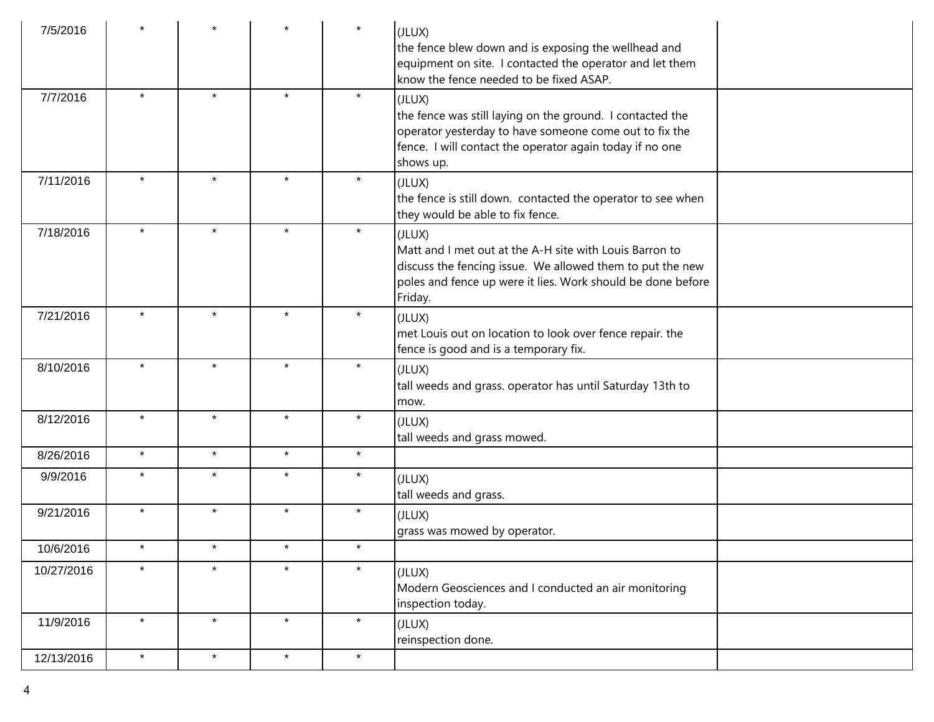| 7/5/2016   |         |         |         | $\star$ | (JLUX)<br>the fence blew down and is exposing the wellhead and<br>equipment on site. I contacted the operator and let them<br>know the fence needed to be fixed ASAP.                                    |
|------------|---------|---------|---------|---------|----------------------------------------------------------------------------------------------------------------------------------------------------------------------------------------------------------|
| 7/7/2016   | $\star$ | $\star$ | $\star$ | $\star$ | (JLUX)<br>the fence was still laying on the ground. I contacted the<br>operator yesterday to have someone come out to fix the<br>fence. I will contact the operator again today if no one<br>shows up.   |
| 7/11/2016  | $\star$ | $\star$ | $\star$ | $\star$ | (JLUX)<br>the fence is still down. contacted the operator to see when<br>they would be able to fix fence.                                                                                                |
| 7/18/2016  | $\star$ | $\star$ | $\star$ | $\star$ | (JLUX)<br>Matt and I met out at the A-H site with Louis Barron to<br>discuss the fencing issue. We allowed them to put the new<br>poles and fence up were it lies. Work should be done before<br>Friday. |
| 7/21/2016  | $\star$ | $\star$ | $\star$ | $\star$ | (JLUX)<br>met Louis out on location to look over fence repair. the<br>fence is good and is a temporary fix.                                                                                              |
| 8/10/2016  | $\star$ | $\star$ | $\star$ | $\star$ | (JLUX)<br>tall weeds and grass. operator has until Saturday 13th to<br>mow.                                                                                                                              |
| 8/12/2016  | $\star$ | $\star$ | $\star$ | $\star$ | (JLUX)<br>tall weeds and grass mowed.                                                                                                                                                                    |
| 8/26/2016  | $\star$ | $\star$ | $\star$ | $\star$ |                                                                                                                                                                                                          |
| 9/9/2016   | $\star$ | $\star$ | $\star$ | $\star$ | (JLUX)<br>tall weeds and grass.                                                                                                                                                                          |
| 9/21/2016  | $\star$ | $\star$ | $\star$ | $\star$ | (JLUX)<br>grass was mowed by operator.                                                                                                                                                                   |
| 10/6/2016  | $\star$ | $\star$ | $\star$ | $\star$ |                                                                                                                                                                                                          |
| 10/27/2016 | $\star$ | $\star$ | $\star$ | $\star$ | (JLUX)<br>Modern Geosciences and I conducted an air monitoring<br>inspection today.                                                                                                                      |
| 11/9/2016  | $\star$ | $\star$ | $\star$ | $\star$ | (JLUX)<br>reinspection done.                                                                                                                                                                             |
| 12/13/2016 | $\star$ | $\star$ | $\star$ | $\star$ |                                                                                                                                                                                                          |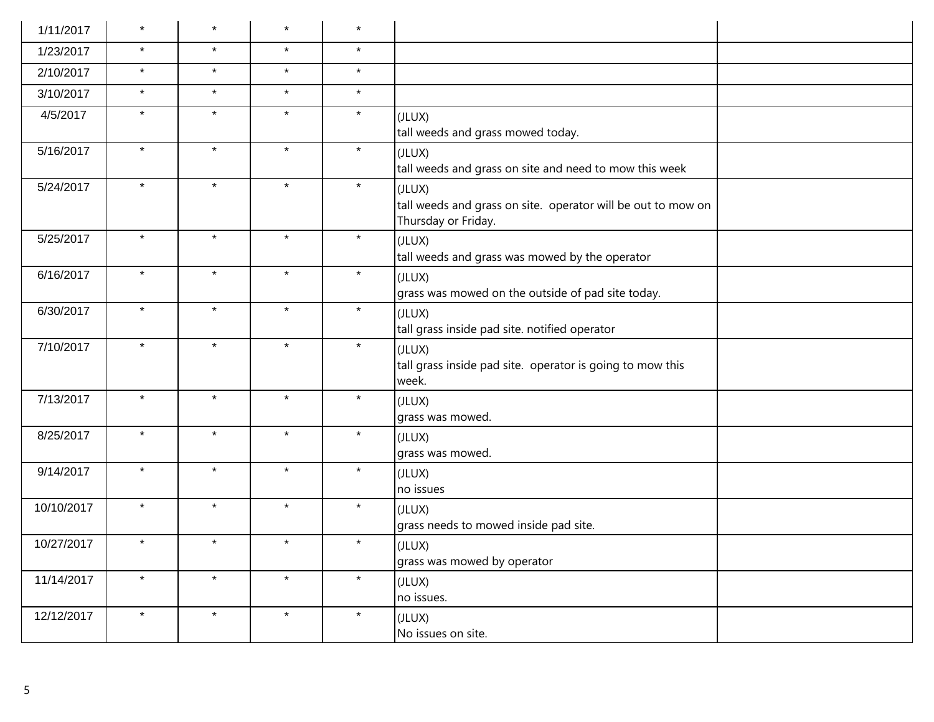| 1/11/2017  | $\star$ | $\star$ | $\star$ | $\star$ |                                                                                               |
|------------|---------|---------|---------|---------|-----------------------------------------------------------------------------------------------|
| 1/23/2017  | $\star$ | $\star$ | $\star$ | $\star$ |                                                                                               |
| 2/10/2017  | $\star$ | $\star$ | $\star$ | $\star$ |                                                                                               |
| 3/10/2017  | $\star$ | $\star$ | $\star$ | $\star$ |                                                                                               |
| 4/5/2017   | $\star$ | $\star$ | $\star$ | $\star$ | (JLUX)<br>tall weeds and grass mowed today.                                                   |
| 5/16/2017  | $\star$ | $\star$ | $\star$ | $\star$ | (JLUX)<br>tall weeds and grass on site and need to mow this week                              |
| 5/24/2017  | $\star$ | $\star$ | $\star$ | $\star$ | (JLUX)<br>tall weeds and grass on site. operator will be out to mow on<br>Thursday or Friday. |
| 5/25/2017  | $\star$ | $\star$ | $\star$ | $\star$ | (JLUX)<br>tall weeds and grass was mowed by the operator                                      |
| 6/16/2017  | $\star$ | $\star$ | $\star$ | $\star$ | (JLUX)<br>grass was mowed on the outside of pad site today.                                   |
| 6/30/2017  | $\star$ | $\star$ | $\star$ | $\star$ | (JLUX)<br>tall grass inside pad site. notified operator                                       |
| 7/10/2017  | $\star$ | $\star$ | $\star$ | $\star$ | (JLUX)<br>tall grass inside pad site. operator is going to mow this<br>week.                  |
| 7/13/2017  | $\star$ | $\star$ | $\star$ | $\star$ | (JLUX)<br>grass was mowed.                                                                    |
| 8/25/2017  | $\star$ | $\star$ | $\star$ | $\star$ | (JLUX)<br>grass was mowed.                                                                    |
| 9/14/2017  | $\star$ | $\star$ | $\star$ | $\star$ | (JLUX)<br>no issues                                                                           |
| 10/10/2017 | $\star$ | $\star$ | $\star$ | $\star$ | (JLUX)<br>grass needs to mowed inside pad site.                                               |
| 10/27/2017 | $\star$ | $\star$ | $\star$ | $\star$ | (JLUX)<br>grass was mowed by operator                                                         |
| 11/14/2017 | $\star$ | $\star$ | $\star$ | $\star$ | (JLUX)<br>no issues.                                                                          |
| 12/12/2017 | $\star$ | $\star$ | $\star$ | $\star$ | (JLUX)<br>No issues on site.                                                                  |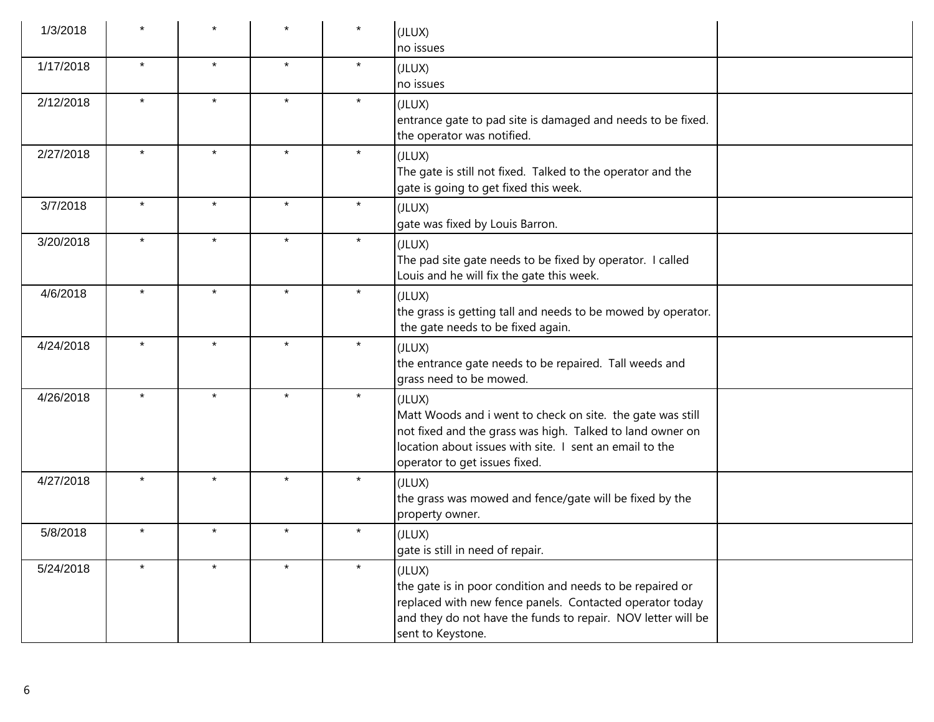| 1/3/2018  |         |         |         | $\star$ | (JLUX)<br>no issues                                                                                                                                                                                                           |  |
|-----------|---------|---------|---------|---------|-------------------------------------------------------------------------------------------------------------------------------------------------------------------------------------------------------------------------------|--|
| 1/17/2018 | $\star$ | $\star$ | $\star$ | $\star$ | (JLUX)<br>no issues                                                                                                                                                                                                           |  |
| 2/12/2018 | $\star$ | $\star$ | $\star$ | $\star$ | (JLUX)<br>entrance gate to pad site is damaged and needs to be fixed.<br>the operator was notified.                                                                                                                           |  |
| 2/27/2018 | $\star$ | $\star$ | $\star$ | $\star$ | (JLUX)<br>The gate is still not fixed. Talked to the operator and the<br>gate is going to get fixed this week.                                                                                                                |  |
| 3/7/2018  | $\star$ | $\star$ | $\star$ | $\star$ | (JLUX)<br>gate was fixed by Louis Barron.                                                                                                                                                                                     |  |
| 3/20/2018 | $\star$ | $\star$ | $\star$ | $\star$ | (JLUX)<br>The pad site gate needs to be fixed by operator. I called<br>Louis and he will fix the gate this week.                                                                                                              |  |
| 4/6/2018  | $\star$ | $\star$ | $\star$ | $\star$ | (JLUX)<br>the grass is getting tall and needs to be mowed by operator.<br>the gate needs to be fixed again.                                                                                                                   |  |
| 4/24/2018 | $\star$ | $\star$ | $\star$ | $\star$ | (JLUX)<br>the entrance gate needs to be repaired. Tall weeds and<br>grass need to be mowed.                                                                                                                                   |  |
| 4/26/2018 | $\star$ | $\star$ | $\star$ | $\star$ | (JLUX)<br>Matt Woods and i went to check on site. the gate was still<br>not fixed and the grass was high. Talked to land owner on<br>location about issues with site. I sent an email to the<br>operator to get issues fixed. |  |
| 4/27/2018 | $\star$ | $\star$ | $\star$ | $\star$ | (JLUX)<br>the grass was mowed and fence/gate will be fixed by the<br>property owner.                                                                                                                                          |  |
| 5/8/2018  | $\star$ | $\star$ | $\star$ | $\star$ | (JLUX)<br>gate is still in need of repair.                                                                                                                                                                                    |  |
| 5/24/2018 |         | $\star$ | $\star$ | $\star$ | (JLUX)<br>the gate is in poor condition and needs to be repaired or<br>replaced with new fence panels. Contacted operator today<br>and they do not have the funds to repair. NOV letter will be<br>sent to Keystone.          |  |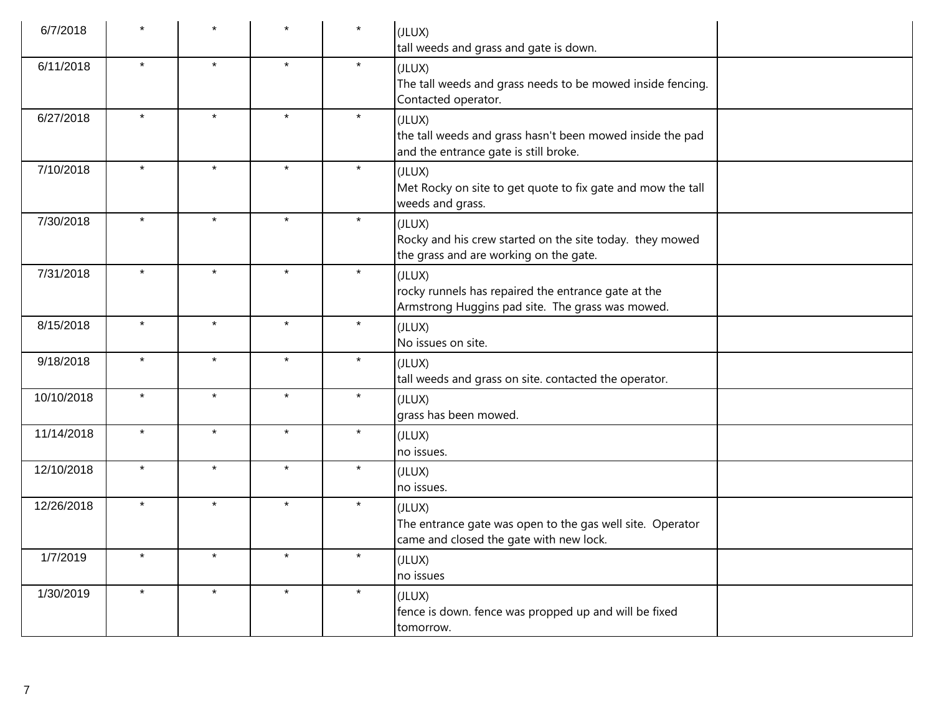| 6/7/2018   |         |         |         | $\star$ | (JLUX)<br>tall weeds and grass and gate is down.                                                                  |
|------------|---------|---------|---------|---------|-------------------------------------------------------------------------------------------------------------------|
| 6/11/2018  | $\star$ | $\star$ | $\star$ | $\star$ | (JLUX)<br>The tall weeds and grass needs to be mowed inside fencing.<br>Contacted operator.                       |
| 6/27/2018  | $\star$ | $\star$ | $\star$ | $\star$ | (JLUX)<br>the tall weeds and grass hasn't been mowed inside the pad<br>and the entrance gate is still broke.      |
| 7/10/2018  | $\star$ | $\star$ | $\star$ | $\star$ | (JLUX)<br>Met Rocky on site to get quote to fix gate and mow the tall<br>weeds and grass.                         |
| 7/30/2018  | $\star$ | $\star$ | $\star$ | $\star$ | (JLUX)<br>Rocky and his crew started on the site today. they mowed<br>the grass and are working on the gate.      |
| 7/31/2018  | $\star$ | $\star$ | $\star$ | $\star$ | (JLUX)<br>rocky runnels has repaired the entrance gate at the<br>Armstrong Huggins pad site. The grass was mowed. |
| 8/15/2018  | $\star$ | $\star$ | $\star$ | $\star$ | (JLUX)<br>No issues on site.                                                                                      |
| 9/18/2018  | $\star$ | $\star$ | $\star$ | $\star$ | (JLUX)<br>tall weeds and grass on site. contacted the operator.                                                   |
| 10/10/2018 | $\star$ | $\star$ | $\star$ | $\star$ | (JLUX)<br>grass has been mowed.                                                                                   |
| 11/14/2018 | $\star$ | $\star$ | $\star$ | $\star$ | (JLUX)<br>no issues.                                                                                              |
| 12/10/2018 | $\star$ | $\star$ | $\star$ | $\star$ | (JLUX)<br>no issues.                                                                                              |
| 12/26/2018 | $\star$ | $\star$ | $\star$ | $\star$ | (JLUX)<br>The entrance gate was open to the gas well site. Operator<br>came and closed the gate with new lock.    |
| 1/7/2019   | $\star$ | $\star$ | $\star$ | $\star$ | (JLUX)<br>no issues                                                                                               |
| 1/30/2019  | $\star$ | $\star$ | $\star$ | $\star$ | (JLUX)<br>fence is down. fence was propped up and will be fixed<br>tomorrow.                                      |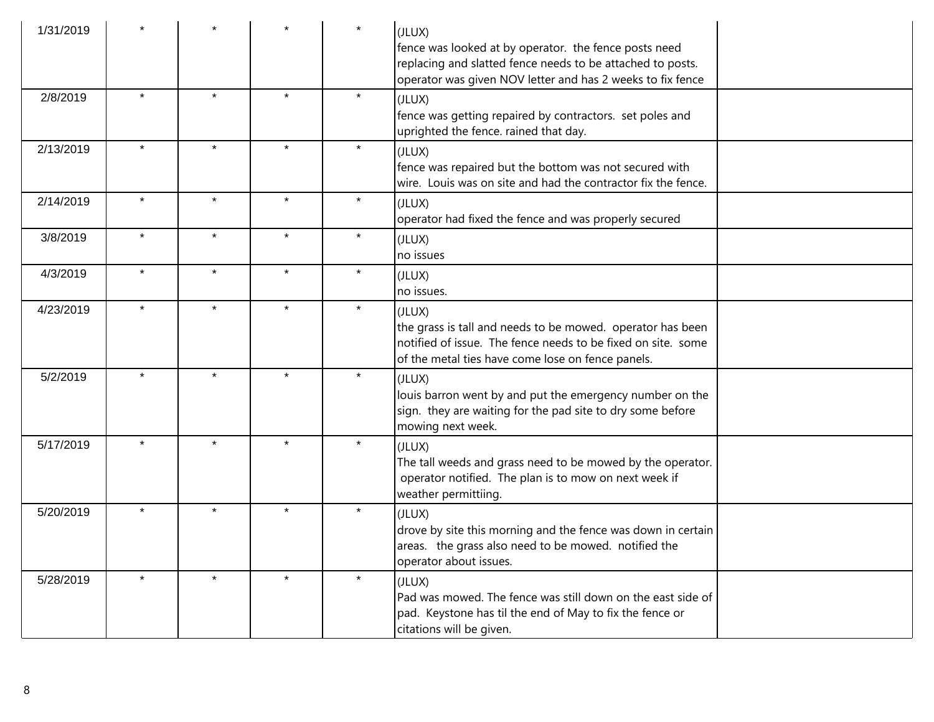| 1/31/2019 |         |         |         | $\star$ | (JLUX)<br>fence was looked at by operator. the fence posts need<br>replacing and slatted fence needs to be attached to posts.<br>operator was given NOV letter and has 2 weeks to fix fence |  |
|-----------|---------|---------|---------|---------|---------------------------------------------------------------------------------------------------------------------------------------------------------------------------------------------|--|
| 2/8/2019  | $\star$ | $\star$ | $\star$ | $\star$ | (JLUX)<br>fence was getting repaired by contractors. set poles and<br>uprighted the fence. rained that day.                                                                                 |  |
| 2/13/2019 | $\star$ | $\star$ | $\star$ | $\star$ | (JLUX)<br>fence was repaired but the bottom was not secured with<br>wire. Louis was on site and had the contractor fix the fence.                                                           |  |
| 2/14/2019 | $\star$ | $\star$ | $\star$ | $\star$ | (JLUX)<br>operator had fixed the fence and was properly secured                                                                                                                             |  |
| 3/8/2019  | $\star$ | $\star$ | $\star$ | $\star$ | (JLUX)<br>no issues                                                                                                                                                                         |  |
| 4/3/2019  | $\star$ | $\star$ | $\star$ | $\star$ | (JLUX)<br>no issues.                                                                                                                                                                        |  |
| 4/23/2019 | $\star$ | $\star$ | $\star$ | $\star$ | (JLUX)<br>the grass is tall and needs to be mowed. operator has been<br>notified of issue. The fence needs to be fixed on site. some<br>of the metal ties have come lose on fence panels.   |  |
| 5/2/2019  | $\star$ | $\star$ | $\star$ | $\star$ | (JLUX)<br>louis barron went by and put the emergency number on the<br>sign. they are waiting for the pad site to dry some before<br>mowing next week.                                       |  |
| 5/17/2019 | $\star$ | $\star$ | $\star$ | $\star$ | (JLUX)<br>The tall weeds and grass need to be mowed by the operator.<br>operator notified. The plan is to mow on next week if<br>weather permittiing.                                       |  |
| 5/20/2019 | $\star$ | $\star$ | $\star$ | $\star$ | (JLUX)<br>drove by site this morning and the fence was down in certain<br>areas. the grass also need to be mowed. notified the<br>operator about issues.                                    |  |
| 5/28/2019 |         |         | $\star$ | $\star$ | (JLUX)<br>Pad was mowed. The fence was still down on the east side of<br>pad. Keystone has til the end of May to fix the fence or<br>citations will be given.                               |  |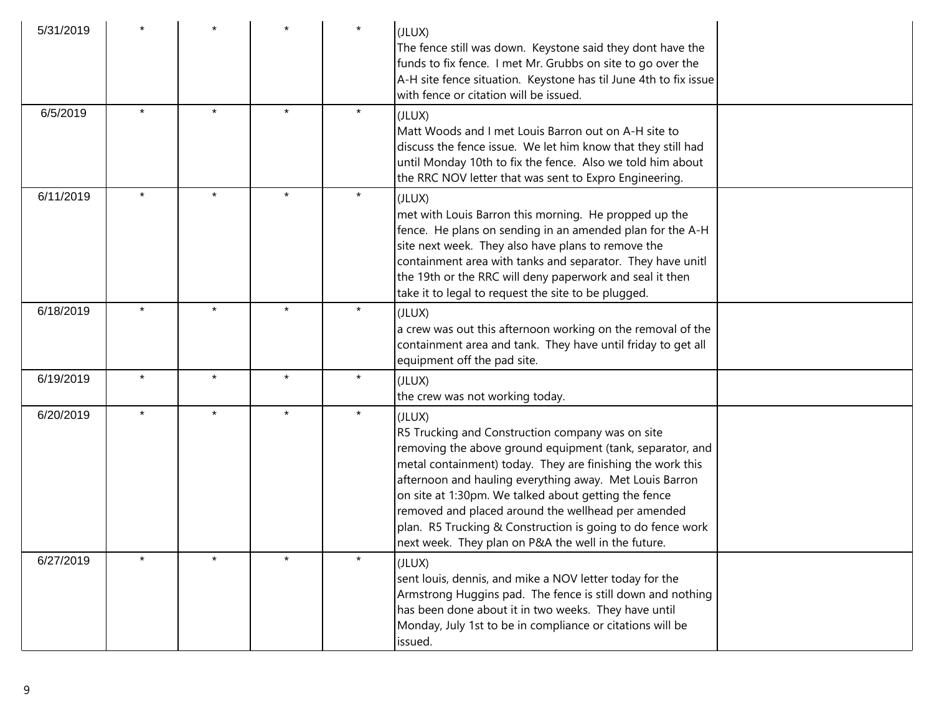| 5/31/2019 |         |         |         |         | (JLUX)<br>The fence still was down. Keystone said they dont have the<br>funds to fix fence. I met Mr. Grubbs on site to go over the<br>A-H site fence situation. Keystone has til June 4th to fix issue<br>with fence or citation will be issued.                                                                                                                                                                                                                                   |  |
|-----------|---------|---------|---------|---------|-------------------------------------------------------------------------------------------------------------------------------------------------------------------------------------------------------------------------------------------------------------------------------------------------------------------------------------------------------------------------------------------------------------------------------------------------------------------------------------|--|
| 6/5/2019  | $\star$ | $\star$ | $\star$ | $\star$ | (JLUX)<br>Matt Woods and I met Louis Barron out on A-H site to<br>discuss the fence issue. We let him know that they still had<br>until Monday 10th to fix the fence. Also we told him about<br>the RRC NOV letter that was sent to Expro Engineering.                                                                                                                                                                                                                              |  |
| 6/11/2019 | $\star$ | $\star$ | $\star$ | $\star$ | (JLUX)<br>met with Louis Barron this morning. He propped up the<br>fence. He plans on sending in an amended plan for the A-H<br>site next week. They also have plans to remove the<br>containment area with tanks and separator. They have unitl<br>the 19th or the RRC will deny paperwork and seal it then<br>take it to legal to request the site to be plugged.                                                                                                                 |  |
| 6/18/2019 |         |         |         | $\star$ | (JLUX)<br>a crew was out this afternoon working on the removal of the<br>containment area and tank. They have until friday to get all<br>equipment off the pad site.                                                                                                                                                                                                                                                                                                                |  |
| 6/19/2019 | $\star$ | $\star$ | $\star$ | $\star$ | (JLUX)<br>the crew was not working today.                                                                                                                                                                                                                                                                                                                                                                                                                                           |  |
| 6/20/2019 | $\star$ | $\star$ | $\star$ | $\star$ | (JLUX)<br>R5 Trucking and Construction company was on site<br>removing the above ground equipment (tank, separator, and<br>metal containment) today. They are finishing the work this<br>afternoon and hauling everything away. Met Louis Barron<br>on site at 1:30pm. We talked about getting the fence<br>removed and placed around the wellhead per amended<br>plan. R5 Trucking & Construction is going to do fence work<br>next week. They plan on P&A the well in the future. |  |
| 6/27/2019 |         |         |         | $\star$ | (JLUX)<br>sent louis, dennis, and mike a NOV letter today for the<br>Armstrong Huggins pad. The fence is still down and nothing<br>has been done about it in two weeks. They have until<br>Monday, July 1st to be in compliance or citations will be<br>issued.                                                                                                                                                                                                                     |  |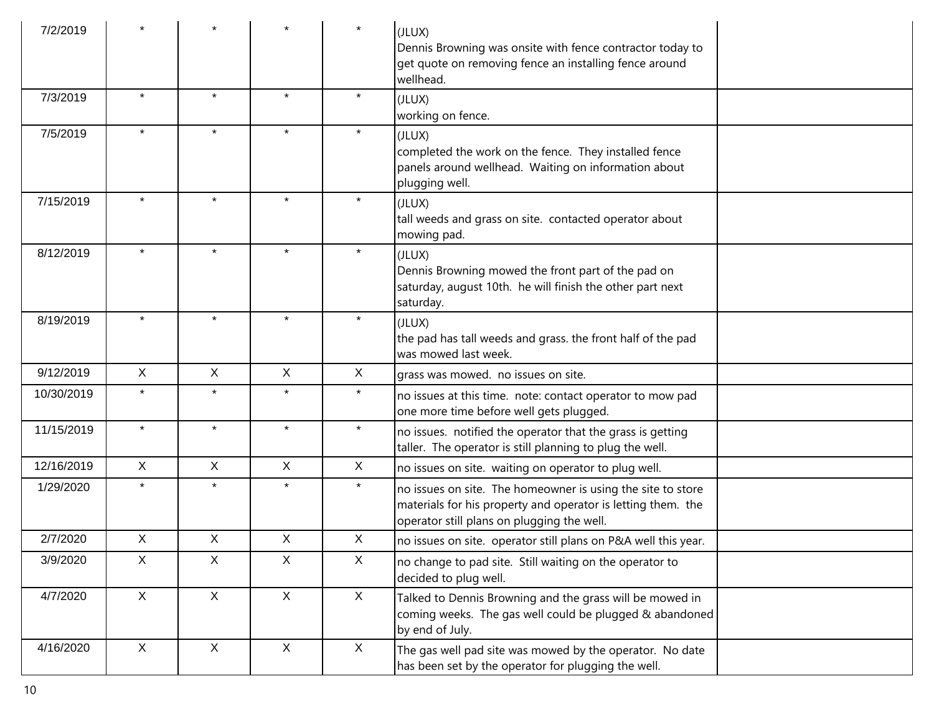| 7/2/2019   |              |              |              |              | (JLUX)<br>Dennis Browning was onsite with fence contractor today to<br>get quote on removing fence an installing fence around<br>wellhead.                                |  |
|------------|--------------|--------------|--------------|--------------|---------------------------------------------------------------------------------------------------------------------------------------------------------------------------|--|
| 7/3/2019   | $\star$      | $\star$      | $\star$      | $\star$      | (JLUX)<br>working on fence.                                                                                                                                               |  |
| 7/5/2019   | $\star$      | $\star$      | $\star$      | $\star$      | (JLUX)<br>completed the work on the fence. They installed fence<br>panels around wellhead. Waiting on information about<br>plugging well.                                 |  |
| 7/15/2019  | $\star$      | $\star$      | $\star$      | $\star$      | (JLUX)<br>tall weeds and grass on site. contacted operator about<br>mowing pad.                                                                                           |  |
| 8/12/2019  | $\star$      | $\star$      | $\star$      | $\star$      | (JLUX)<br>Dennis Browning mowed the front part of the pad on<br>saturday, august 10th. he will finish the other part next<br>saturday.                                    |  |
| 8/19/2019  | $\star$      | $\star$      | $\star$      | $\star$      | (JLUX)<br>the pad has tall weeds and grass. the front half of the pad<br>was mowed last week.                                                                             |  |
| 9/12/2019  | $\mathsf{X}$ | $\mathsf{X}$ | X            | $\mathsf{X}$ | grass was mowed. no issues on site.                                                                                                                                       |  |
| 10/30/2019 | $\star$      | $\star$      | $\star$      | $\star$      | no issues at this time. note: contact operator to mow pad<br>one more time before well gets plugged.                                                                      |  |
| 11/15/2019 | $\star$      | $\star$      | $\star$      | $\star$      | no issues. notified the operator that the grass is getting<br>taller. The operator is still planning to plug the well.                                                    |  |
| 12/16/2019 | $\mathsf{X}$ | $\mathsf{X}$ | X            | X            | no issues on site. waiting on operator to plug well.                                                                                                                      |  |
| 1/29/2020  | $\star$      | $\star$      | $\star$      | $\star$      | no issues on site. The homeowner is using the site to store<br>materials for his property and operator is letting them. the<br>operator still plans on plugging the well. |  |
| 2/7/2020   | X            | X            | X            | X            | no issues on site. operator still plans on P&A well this year.                                                                                                            |  |
| 3/9/2020   | $\mathsf{X}$ | $\mathsf{X}$ | $\mathsf{X}$ | X            | no change to pad site. Still waiting on the operator to<br>decided to plug well.                                                                                          |  |
| 4/7/2020   | $\mathsf{X}$ | $\mathsf{X}$ | $\mathsf{X}$ | $\mathsf{X}$ | Talked to Dennis Browning and the grass will be mowed in<br>coming weeks. The gas well could be plugged & abandoned<br>by end of July.                                    |  |
| 4/16/2020  | $\mathsf{X}$ | X            | $\mathsf{X}$ | X            | The gas well pad site was mowed by the operator. No date<br>has been set by the operator for plugging the well.                                                           |  |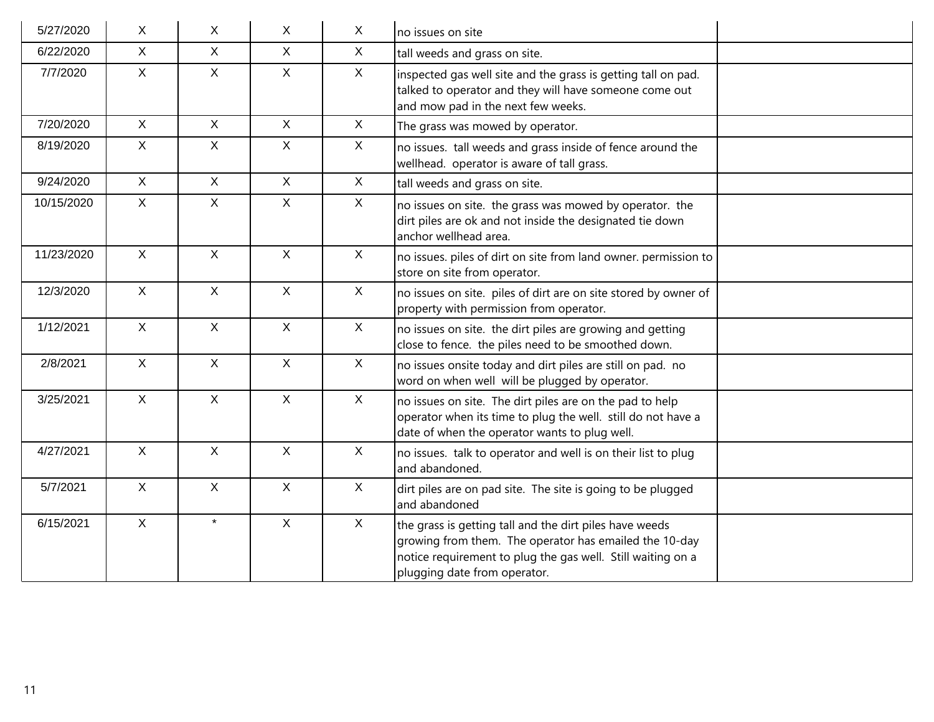| 5/27/2020  | $\mathsf{X}$ | $\sf X$        | X              | $\mathsf{X}$ | no issues on site                                                                                                                                                                                                |
|------------|--------------|----------------|----------------|--------------|------------------------------------------------------------------------------------------------------------------------------------------------------------------------------------------------------------------|
| 6/22/2020  | $\mathsf{X}$ | $\mathsf{X}$   | $\mathsf{X}$   | $\mathsf X$  | tall weeds and grass on site.                                                                                                                                                                                    |
| 7/7/2020   | $\mathsf{X}$ | $\mathsf{X}$   | $\mathsf{X}$   | $\mathsf{X}$ | inspected gas well site and the grass is getting tall on pad.<br>talked to operator and they will have someone come out<br>and mow pad in the next few weeks.                                                    |
| 7/20/2020  | $\mathsf{X}$ | $\mathsf{X}$   | $\mathsf{X}$   | $\mathsf{X}$ | The grass was mowed by operator.                                                                                                                                                                                 |
| 8/19/2020  | $\mathsf{X}$ | $\mathsf{X}$   | $\mathsf{X}$   | $\mathsf{X}$ | no issues. tall weeds and grass inside of fence around the<br>wellhead. operator is aware of tall grass.                                                                                                         |
| 9/24/2020  | $\mathsf{X}$ | $\mathsf{X}$   | $\mathsf{X}$   | $\mathsf{X}$ | tall weeds and grass on site.                                                                                                                                                                                    |
| 10/15/2020 | X            | $\mathsf{X}$   | $\mathsf{X}$   | $\sf X$      | no issues on site. the grass was mowed by operator. the<br>dirt piles are ok and not inside the designated tie down<br>anchor wellhead area.                                                                     |
| 11/23/2020 | $\mathsf{X}$ | $\mathsf{X}$   | $\mathsf{X}$   | $\mathsf{X}$ | no issues. piles of dirt on site from land owner. permission to<br>store on site from operator.                                                                                                                  |
| 12/3/2020  | $\mathsf{X}$ | $\overline{X}$ | $\overline{X}$ | $\mathsf{X}$ | no issues on site. piles of dirt are on site stored by owner of<br>property with permission from operator.                                                                                                       |
| 1/12/2021  | $\mathsf{X}$ | $\mathsf{X}$   | $\mathsf{X}$   | $\mathsf{X}$ | no issues on site. the dirt piles are growing and getting<br>close to fence. the piles need to be smoothed down.                                                                                                 |
| 2/8/2021   | $\mathsf{X}$ | $\mathsf{X}$   | $\mathsf{X}$   | $\mathsf{X}$ | no issues onsite today and dirt piles are still on pad. no<br>word on when well will be plugged by operator.                                                                                                     |
| 3/25/2021  | $\mathsf{X}$ | $\mathsf{X}$   | $\mathsf{X}$   | $\mathsf{X}$ | no issues on site. The dirt piles are on the pad to help<br>operator when its time to plug the well. still do not have a<br>date of when the operator wants to plug well.                                        |
| 4/27/2021  | $\mathsf{X}$ | $\mathsf{X}$   | $\mathsf{X}$   | $\mathsf{X}$ | no issues. talk to operator and well is on their list to plug<br>and abandoned.                                                                                                                                  |
| 5/7/2021   | $\mathsf{X}$ | $\mathsf{X}$   | $\mathsf{X}$   | $\mathsf{X}$ | dirt piles are on pad site. The site is going to be plugged<br>and abandoned                                                                                                                                     |
| 6/15/2021  | $\mathsf{X}$ | $\star$        | $\mathsf X$    | $\mathsf{X}$ | the grass is getting tall and the dirt piles have weeds<br>growing from them. The operator has emailed the 10-day<br>notice requirement to plug the gas well. Still waiting on a<br>plugging date from operator. |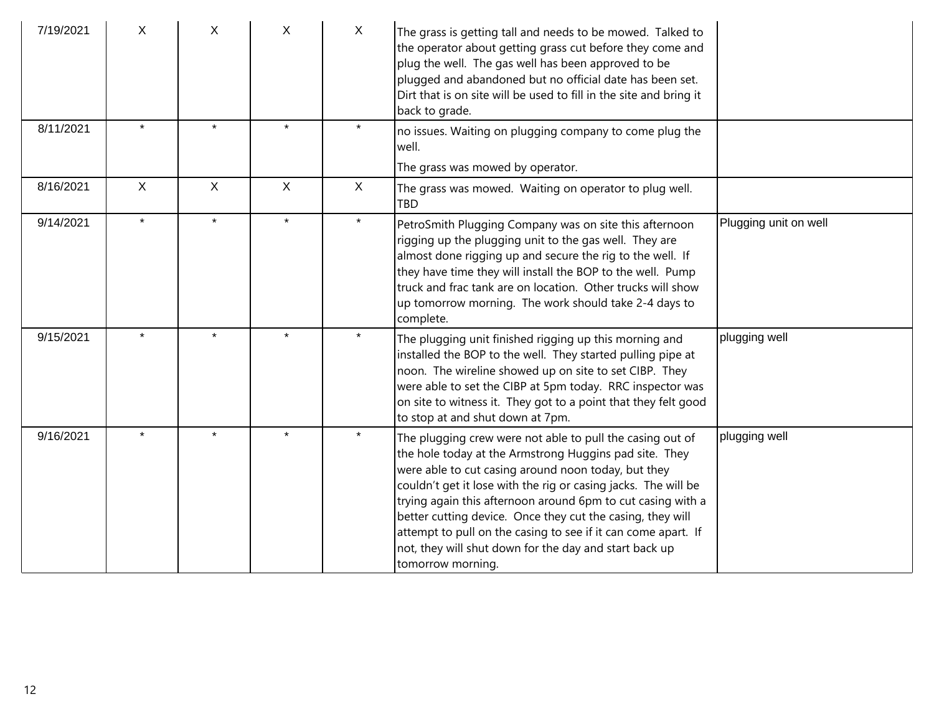| 7/19/2021 | X            | X            | X            | $\mathsf{X}$ | The grass is getting tall and needs to be mowed. Talked to<br>the operator about getting grass cut before they come and<br>plug the well. The gas well has been approved to be<br>plugged and abandoned but no official date has been set.<br>Dirt that is on site will be used to fill in the site and bring it<br>back to grade.                                                                                                                                                                                        |                       |
|-----------|--------------|--------------|--------------|--------------|---------------------------------------------------------------------------------------------------------------------------------------------------------------------------------------------------------------------------------------------------------------------------------------------------------------------------------------------------------------------------------------------------------------------------------------------------------------------------------------------------------------------------|-----------------------|
| 8/11/2021 | $\star$      | $\star$      |              |              | no issues. Waiting on plugging company to come plug the<br>well.                                                                                                                                                                                                                                                                                                                                                                                                                                                          |                       |
|           |              | $\mathsf{X}$ |              |              | The grass was mowed by operator.                                                                                                                                                                                                                                                                                                                                                                                                                                                                                          |                       |
| 8/16/2021 | $\mathsf{X}$ |              | $\mathsf{X}$ | $\mathsf{X}$ | The grass was mowed. Waiting on operator to plug well.<br><b>TBD</b>                                                                                                                                                                                                                                                                                                                                                                                                                                                      |                       |
| 9/14/2021 | $\star$      | $\star$      | $\star$      | $\star$      | PetroSmith Plugging Company was on site this afternoon<br>rigging up the plugging unit to the gas well. They are<br>almost done rigging up and secure the rig to the well. If<br>they have time they will install the BOP to the well. Pump<br>Itruck and frac tank are on location. Other trucks will show<br>up tomorrow morning. The work should take 2-4 days to<br>complete.                                                                                                                                         | Plugging unit on well |
| 9/15/2021 | $\star$      | $\star$      |              | $\star$      | The plugging unit finished rigging up this morning and<br>installed the BOP to the well. They started pulling pipe at<br>noon. The wireline showed up on site to set CIBP. They<br>were able to set the CIBP at 5pm today. RRC inspector was<br>on site to witness it. They got to a point that they felt good<br>to stop at and shut down at 7pm.                                                                                                                                                                        | plugging well         |
| 9/16/2021 |              | $\star$      |              |              | The plugging crew were not able to pull the casing out of<br>the hole today at the Armstrong Huggins pad site. They<br>were able to cut casing around noon today, but they<br>couldn't get it lose with the rig or casing jacks. The will be<br>trying again this afternoon around 6pm to cut casing with a<br>better cutting device. Once they cut the casing, they will<br>attempt to pull on the casing to see if it can come apart. If<br>not, they will shut down for the day and start back up<br>tomorrow morning. | plugging well         |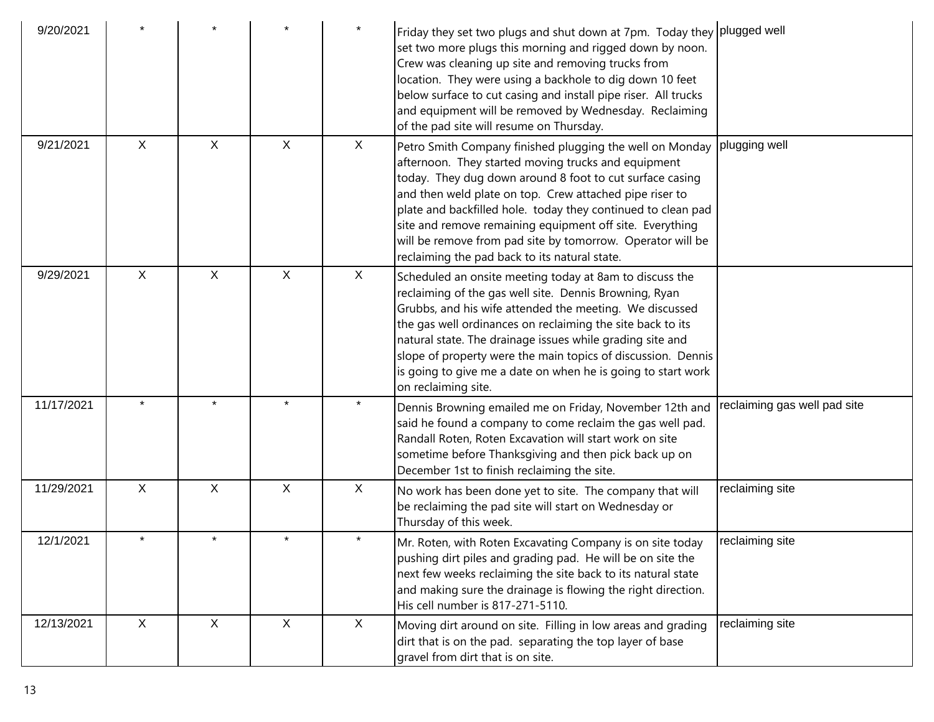| 9/20/2021  |              |              |              |         | Friday they set two plugs and shut down at 7pm. Today they plugged well<br>set two more plugs this morning and rigged down by noon.<br>Crew was cleaning up site and removing trucks from<br>location. They were using a backhole to dig down 10 feet<br>below surface to cut casing and install pipe riser. All trucks<br>and equipment will be removed by Wednesday. Reclaiming<br>of the pad site will resume on Thursday.                                                     |                              |
|------------|--------------|--------------|--------------|---------|-----------------------------------------------------------------------------------------------------------------------------------------------------------------------------------------------------------------------------------------------------------------------------------------------------------------------------------------------------------------------------------------------------------------------------------------------------------------------------------|------------------------------|
| 9/21/2021  | $\mathsf X$  | $\mathsf{X}$ | $\mathsf{X}$ | X       | Petro Smith Company finished plugging the well on Monday<br>afternoon. They started moving trucks and equipment<br>today. They dug down around 8 foot to cut surface casing<br>and then weld plate on top. Crew attached pipe riser to<br>plate and backfilled hole. today they continued to clean pad<br>site and remove remaining equipment off site. Everything<br>will be remove from pad site by tomorrow. Operator will be<br>reclaiming the pad back to its natural state. | plugging well                |
| 9/29/2021  | $\mathsf{X}$ | $\sf X$      | X            | X       | Scheduled an onsite meeting today at 8am to discuss the<br>reclaiming of the gas well site. Dennis Browning, Ryan<br>Grubbs, and his wife attended the meeting. We discussed<br>the gas well ordinances on reclaiming the site back to its<br>natural state. The drainage issues while grading site and<br>slope of property were the main topics of discussion. Dennis<br>is going to give me a date on when he is going to start work<br>on reclaiming site.                    |                              |
| 11/17/2021 | $\star$      | $\star$      | $\star$      | $\star$ | Dennis Browning emailed me on Friday, November 12th and<br>said he found a company to come reclaim the gas well pad.<br>Randall Roten, Roten Excavation will start work on site<br>sometime before Thanksgiving and then pick back up on<br>December 1st to finish reclaiming the site.                                                                                                                                                                                           | reclaiming gas well pad site |
| 11/29/2021 | $\mathsf{X}$ | $\mathsf{X}$ | X            | X       | No work has been done yet to site. The company that will<br>be reclaiming the pad site will start on Wednesday or<br>Thursday of this week.                                                                                                                                                                                                                                                                                                                                       | reclaiming site              |
| 12/1/2021  | $\star$      | $\star$      | $\star$      | $\star$ | Mr. Roten, with Roten Excavating Company is on site today<br>pushing dirt piles and grading pad. He will be on site the<br>next few weeks reclaiming the site back to its natural state<br>and making sure the drainage is flowing the right direction.<br>His cell number is 817-271-5110.                                                                                                                                                                                       | reclaiming site              |
| 12/13/2021 | $\mathsf{X}$ | X            | X            | X       | Moving dirt around on site. Filling in low areas and grading<br>dirt that is on the pad. separating the top layer of base<br>gravel from dirt that is on site.                                                                                                                                                                                                                                                                                                                    | reclaiming site              |